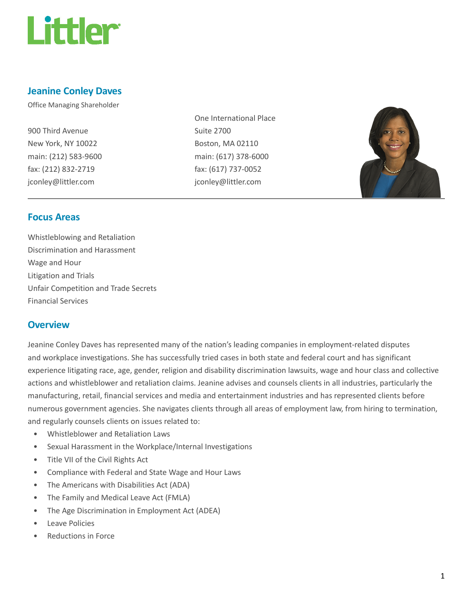

### Jeanine Conley Daves

Office Managing Shareholder

900 Third Avenue New York, NY 10022 main: (212) 583-9600 fax: (212) 832-2719 jconley@littler.com

One International Place Suite 2700 Boston, MA 02110 main: (617) 378-6000 fax: (617) 737-0052 jconley@littler.com



### Focus Areas

Whistleblowing and Retaliation Discrimination and Harassment Wage and Hour Litigation and Trials Unfair Competition and Trade Secrets Financial Services

### **Overview**

Jeanine Conley Daves has represented many of the nation's leading companies in employment-related disputes and workplace investigations. She has successfully tried cases in both state and federal court and has significant experience litigating race, age, gender, religion and disability discrimination lawsuits, wage and hour class and collective actions and whistleblower and retaliation claims. Jeanine advises and counsels clients in all industries, particularly the manufacturing, retail, financial services and media and entertainment industries and has represented clients before numerous government agencies. She navigates clients through all areas of employment law, from hiring to termination, and regularly counsels clients on issues related to:

- Whistleblower and Retaliation Laws
- Sexual Harassment in the Workplace/Internal Investigations
- Title VII of the Civil Rights Act
- Compliance with Federal and State Wage and Hour Laws
- The Americans with Disabilities Act (ADA)
- The Family and Medical Leave Act (FMLA)
- The Age Discrimination in Employment Act (ADEA)
- Leave Policies
- Reductions in Force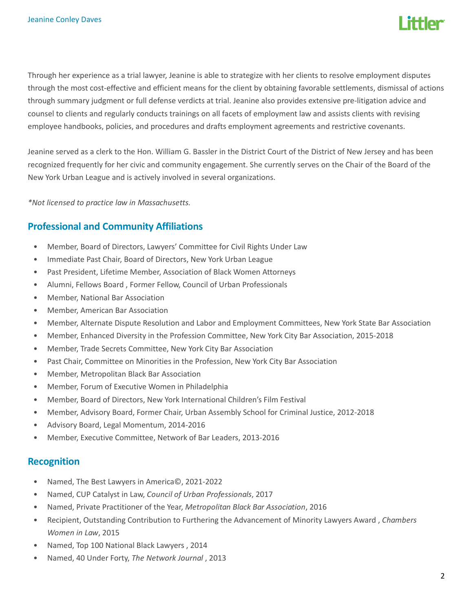

Through her experience as a trial lawyer, Jeanine is able to strategize with her clients to resolve employment disputes through the most cost-effective and efficient means for the client by obtaining favorable settlements, dismissal of actions through summary judgment or full defense verdicts at trial. Jeanine also provides extensive pre-litigation advice and counsel to clients and regularly conducts trainings on all facets of employment law and assists clients with revising employee handbooks, policies, and procedures and drafts employment agreements and restrictive covenants.

Jeanine served as a clerk to the Hon. William G. Bassler in the District Court of the District of New Jersey and has been recognized frequently for her civic and community engagement. She currently serves on the Chair of the Board of the New York Urban League and is actively involved in several organizations.

\*Not licensed to practice law in Massachusetts.

### Professional and Community Affiliations

- Member, Board of Directors, Lawyers' Committee for Civil Rights Under Law
- Immediate Past Chair, Board of Directors, New York Urban League
- Past President, Lifetime Member, Association of Black Women Attorneys
- Alumni, Fellows Board , Former Fellow, Council of Urban Professionals
- Member, National Bar Association
- Member, American Bar Association
- Member, Alternate Dispute Resolution and Labor and Employment Committees, New York State Bar Association
- Member, Enhanced Diversity in the Profession Committee, New York City Bar Association, 2015-2018
- Member, Trade Secrets Committee, New York City Bar Association
- Past Chair, Committee on Minorities in the Profession, New York City Bar Association
- Member, Metropolitan Black Bar Association
- Member, Forum of Executive Women in Philadelphia
- Member, Board of Directors, New York International Children's Film Festival
- Member, Advisory Board, Former Chair, Urban Assembly School for Criminal Justice, 2012-2018
- Advisory Board, Legal Momentum, 2014-2016
- Member, Executive Committee, Network of Bar Leaders, 2013-2016

#### Recognition

- Named, The Best Lawyers in America©, 2021-2022
- Named, CUP Catalyst in Law, Council of Urban Professionals, 2017
- Named, Private Practitioner of the Year, Metropolitan Black Bar Association, 2016
- Recipient, Outstanding Contribution to Furthering the Advancement of Minority Lawyers Award, Chambers Women in Law, 2015
- Named, Top 100 National Black Lawyers , 2014
- Named, 40 Under Forty, The Network Journal , 2013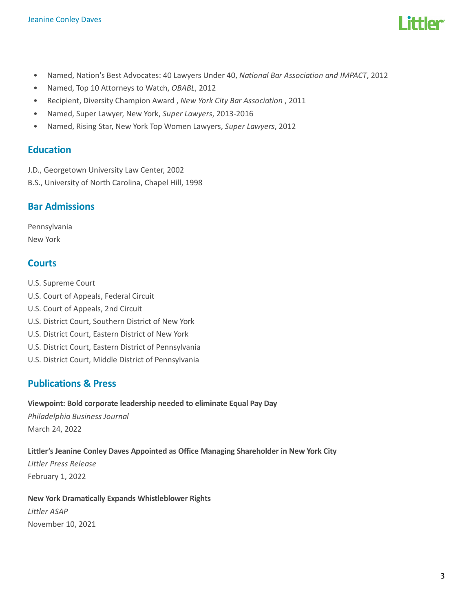

- Named, Nation's Best Advocates: 40 Lawyers Under 40, National Bar Association and IMPACT, 2012
- Named, Top 10 Attorneys to Watch, OBABL, 2012
- Recipient, Diversity Champion Award , New York City Bar Association , 2011
- Named, Super Lawyer, New York, Super Lawyers, 2013-2016
- Named, Rising Star, New York Top Women Lawyers, Super Lawyers, 2012

### **Education**

- J.D., Georgetown University Law Center, 2002
- B.S., University of North Carolina, Chapel Hill, 1998

### Bar Admissions

Pennsylvania New York

### **Courts**

- U.S. Supreme Court
- U.S. Court of Appeals, Federal Circuit
- U.S. Court of Appeals, 2nd Circuit
- U.S. District Court, Southern District of New York
- U.S. District Court, Eastern District of New York
- U.S. District Court, Eastern District of Pennsylvania
- U.S. District Court, Middle District of Pennsylvania

### Publications & Press

#### Viewpoint: Bold corporate leadership needed to eliminate Equal Pay Day

Philadelphia Business Journal March 24, 2022

#### Littler's Jeanine Conley Daves Appointed as Office Managing Shareholder in New York City

Littler Press Release February 1, 2022

#### New York Dramatically Expands Whistleblower Rights

Littler ASAP November 10, 2021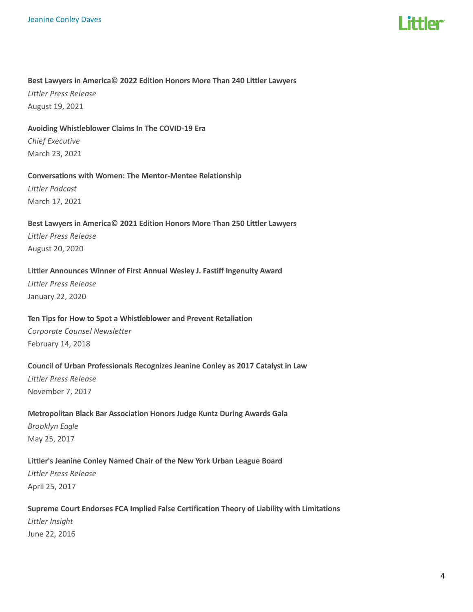

#### Best Lawyers in America© 2022 Edition Honors More Than 240 Littler Lawyers

Littler Press Release August 19, 2021

#### Avoiding Whistleblower Claims In The COVID-19 Era

Chief Executive March 23, 2021

#### Conversations with Women: The Mentor-Mentee Relationship

Littler Podcast March 17, 2021

### Best Lawyers in America© 2021 Edition Honors More Than 250 Littler Lawyers

Littler Press Release August 20, 2020

#### Littler Announces Winner of First Annual Wesley J. Fastiff Ingenuity Award

Littler Press Release January 22, 2020

#### Ten Tips for How to Spot a Whistleblower and Prevent Retaliation

Corporate Counsel Newsletter February 14, 2018

#### Council of Urban Professionals Recognizes Jeanine Conley as 2017 Catalyst in Law

Littler Press Release November 7, 2017

### Metropolitan Black Bar Association Honors Judge Kuntz During Awards Gala Brooklyn Eagle May 25, 2017

### Littler's Jeanine Conley Named Chair of the New York Urban League Board Littler Press Release April 25, 2017

Supreme Court Endorses FCA Implied False Certification Theory of Liability with Limitations Littler Insight June 22, 2016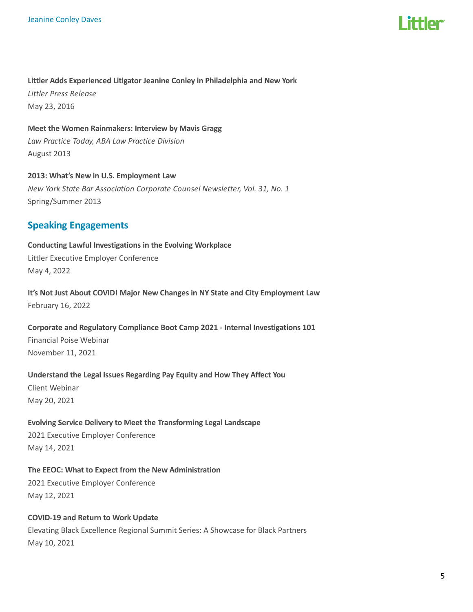

#### Littler Adds Experienced Litigator Jeanine Conley in Philadelphia and New York

Littler Press Release May 23, 2016

Meet the Women Rainmakers: Interview by Mavis Gragg Law Practice Today, ABA Law Practice Division August 2013

2013: What's New in U.S. Employment Law New York State Bar Association Corporate Counsel Newsletter, Vol. 31, No. 1 Spring/Summer 2013

### Speaking Engagements

Conducting Lawful Investigations in the Evolving Workplace Littler Executive Employer Conference May 4, 2022

It's Not Just About COVID! Major New Changes in NY State and City Employment Law February 16, 2022

Corporate and Regulatory Compliance Boot Camp 2021 - Internal Investigations 101 Financial Poise Webinar November 11, 2021

Understand the Legal Issues Regarding Pay Equity and How They Affect You

Client Webinar May 20, 2021

Evolving Service Delivery to Meet the Transforming Legal Landscape

2021 Executive Employer Conference May 14, 2021

The EEOC: What to Expect from the New Administration 2021 Executive Employer Conference May 12, 2021

COVID-19 and Return to Work Update Elevating Black Excellence Regional Summit Series: A Showcase for Black Partners May 10, 2021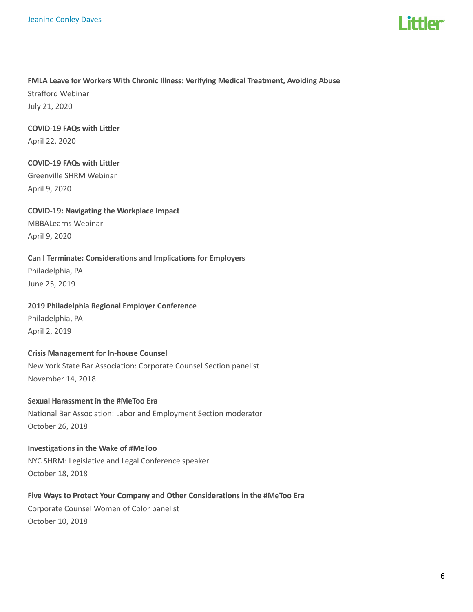

#### FMLA Leave for Workers With Chronic Illness: Verifying Medical Treatment, Avoiding Abuse

Strafford Webinar July 21, 2020

### COVID-19 FAQs with Littler

April 22, 2020

### COVID-19 FAQs with Littler Greenville SHRM Webinar April 9, 2020

### COVID-19: Navigating the Workplace Impact

MBBALearns Webinar April 9, 2020

### Can I Terminate: Considerations and Implications for Employers

Philadelphia, PA June 25, 2019

### 2019 Philadelphia Regional Employer Conference

Philadelphia, PA April 2, 2019

# Crisis Management for In-house Counsel

New York State Bar Association: Corporate Counsel Section panelist November 14, 2018

#### Sexual Harassment in the #MeToo Era

National Bar Association: Labor and Employment Section moderator October 26, 2018

### Investigations in the Wake of #MeToo NYC SHRM: Legislative and Legal Conference speaker October 18, 2018

#### Five Ways to Protect Your Company and Other Considerations in the #MeToo Era

Corporate Counsel Women of Color panelist October 10, 2018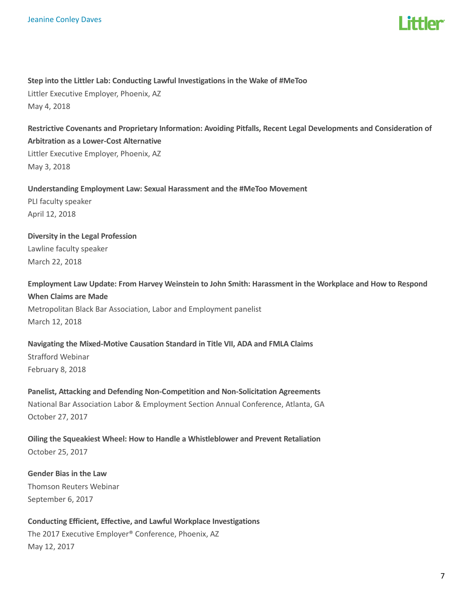

### Step into the Littler Lab: Conducting Lawful Investigations in the Wake of #MeToo Littler Executive Employer, Phoenix, AZ May 4, 2018

Restrictive Covenants and Proprietary Information: Avoiding Pitfalls, Recent Legal Developments and Consideration of Arbitration as a Lower-Cost Alternative Littler Executive Employer, Phoenix, AZ May 3, 2018

Understanding Employment Law: Sexual Harassment and the #MeToo Movement PLI faculty speaker April 12, 2018

Diversity in the Legal Profession Lawline faculty speaker March 22, 2018

Employment Law Update: From Harvey Weinstein to John Smith: Harassment in the Workplace and How to Respond When Claims are Made Metropolitan Black Bar Association, Labor and Employment panelist March 12, 2018

Navigating the Mixed-Motive Causation Standard in Title VII, ADA and FMLA Claims Strafford Webinar February 8, 2018

Panelist, Attacking and Defending Non-Competition and Non-Solicitation Agreements National Bar Association Labor & Employment Section Annual Conference, Atlanta, GA October 27, 2017

Oiling the Squeakiest Wheel: How to Handle a Whistleblower and Prevent Retaliation October 25, 2017

Gender Bias in the Law Thomson Reuters Webinar September 6, 2017

Conducting Efficient, Effective, and Lawful Workplace Investigations The 2017 Executive Employer® Conference, Phoenix, AZ May 12, 2017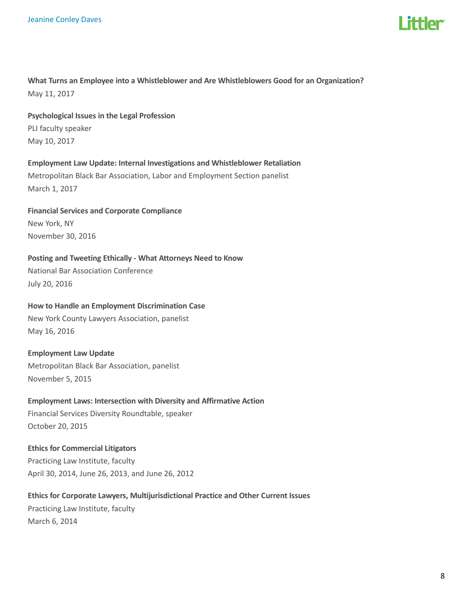

What Turns an Employee into a Whistleblower and Are Whistleblowers Good for an Organization? May 11, 2017

Psychological Issues in the Legal Profession PLI faculty speaker May 10, 2017

Employment Law Update: Internal Investigations and Whistleblower Retaliation Metropolitan Black Bar Association, Labor and Employment Section panelist March 1, 2017

Financial Services and Corporate Compliance New York, NY November 30, 2016

Posting and Tweeting Ethically - What Attorneys Need to Know National Bar Association Conference July 20, 2016

## How to Handle an Employment Discrimination Case

New York County Lawyers Association, panelist May 16, 2016

Employment Law Update Metropolitan Black Bar Association, panelist November 5, 2015

# Employment Laws: Intersection with Diversity and Affirmative Action

Financial Services Diversity Roundtable, speaker October 20, 2015

#### Ethics for Commercial Litigators

Practicing Law Institute, faculty April 30, 2014, June 26, 2013, and June 26, 2012

#### Ethics for Corporate Lawyers, Multijurisdictional Practice and Other Current Issues

Practicing Law Institute, faculty March 6, 2014